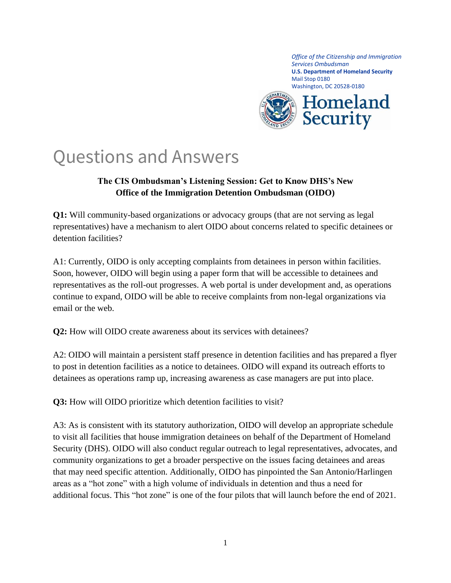*Office of the Citizenship and Immigration Services Ombudsman* **U.S. Department of Homeland Security** Mail Stop 0180 Washington, DC 20528-0180



## Questions and Answers

## **The CIS Ombudsman's Listening Session: Get to Know DHS's New Office of the Immigration Detention Ombudsman (OIDO)**

**Q1:** Will community-based organizations or advocacy groups (that are not serving as legal representatives) have a mechanism to alert OIDO about concerns related to specific detainees or detention facilities?

A1: Currently, OIDO is only accepting complaints from detainees in person within facilities. Soon, however, OIDO will begin using a paper form that will be accessible to detainees and representatives as the roll-out progresses. A web portal is under development and, as operations continue to expand, OIDO will be able to receive complaints from non-legal organizations via email or the web.

**Q2:** How will OIDO create awareness about its services with detainees?

A2: OIDO will maintain a persistent staff presence in detention facilities and has prepared a flyer to post in detention facilities as a notice to detainees. OIDO will expand its outreach efforts to detainees as operations ramp up, increasing awareness as case managers are put into place.

**Q3:** How will OIDO prioritize which detention facilities to visit?

A3: As is consistent with its statutory authorization, OIDO will develop an appropriate schedule to visit all facilities that house immigration detainees on behalf of the Department of Homeland Security (DHS). OIDO will also conduct regular outreach to legal representatives, advocates, and community organizations to get a broader perspective on the issues facing detainees and areas that may need specific attention. Additionally, OIDO has pinpointed the San Antonio/Harlingen areas as a "hot zone" with a high volume of individuals in detention and thus a need for additional focus. This "hot zone" is one of the four pilots that will launch before the end of 2021.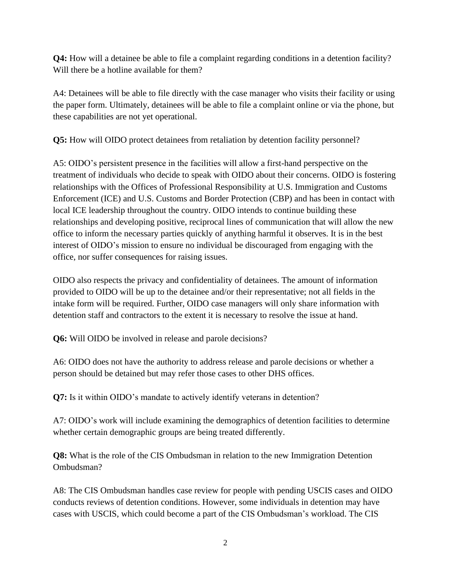**Q4:** How will a detainee be able to file a complaint regarding conditions in a detention facility? Will there be a hotline available for them?

A4: Detainees will be able to file directly with the case manager who visits their facility or using the paper form. Ultimately, detainees will be able to file a complaint online or via the phone, but these capabilities are not yet operational.

**Q5:** How will OIDO protect detainees from retaliation by detention facility personnel?

A5: OIDO's persistent presence in the facilities will allow a first-hand perspective on the treatment of individuals who decide to speak with OIDO about their concerns. OIDO is fostering relationships with the Offices of Professional Responsibility at U.S. Immigration and Customs Enforcement (ICE) and U.S. Customs and Border Protection (CBP) and has been in contact with local ICE leadership throughout the country. OIDO intends to continue building these relationships and developing positive, reciprocal lines of communication that will allow the new office to inform the necessary parties quickly of anything harmful it observes. It is in the best interest of OIDO's mission to ensure no individual be discouraged from engaging with the office, nor suffer consequences for raising issues.

OIDO also respects the privacy and confidentiality of detainees. The amount of information provided to OIDO will be up to the detainee and/or their representative; not all fields in the intake form will be required. Further, OIDO case managers will only share information with detention staff and contractors to the extent it is necessary to resolve the issue at hand.

**Q6:** Will OIDO be involved in release and parole decisions?

A6: OIDO does not have the authority to address release and parole decisions or whether a person should be detained but may refer those cases to other DHS offices.

**Q7:** Is it within OIDO's mandate to actively identify veterans in detention?

A7: OIDO's work will include examining the demographics of detention facilities to determine whether certain demographic groups are being treated differently.

**Q8:** What is the role of the CIS Ombudsman in relation to the new Immigration Detention Ombudsman?

A8: The CIS Ombudsman handles case review for people with pending USCIS cases and OIDO conducts reviews of detention conditions. However, some individuals in detention may have cases with USCIS, which could become a part of the CIS Ombudsman's workload. The CIS